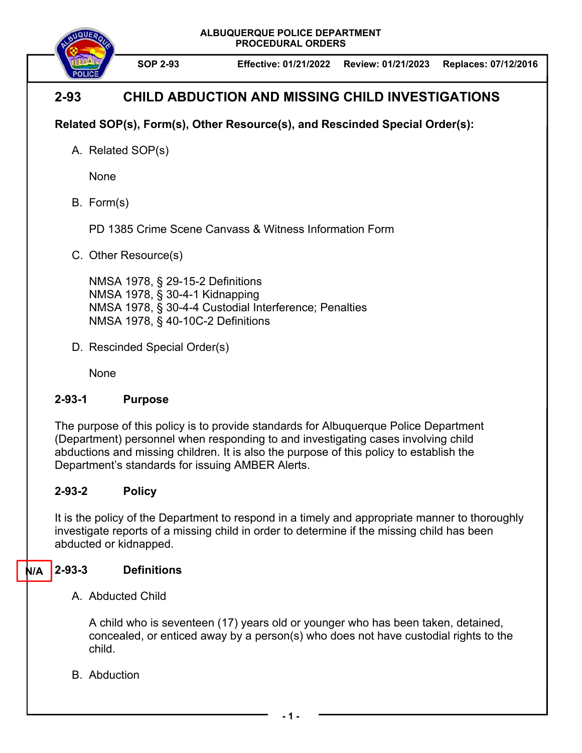**ALBUQUERQUE POLICE DEPARTMENT PROCEDURAL ORDERS** 



**SOP 2-93 Effective: 01/21/2022 Review: 01/21/2023 Replaces: 07/12/2016**

# **2-93 CHILD ABDUCTION AND MISSING CHILD INVESTIGATIONS**

## **Related SOP(s), Form(s), Other Resource(s), and Rescinded Special Order(s):**

A. Related SOP(s)

None

B. Form(s)

PD 1385 Crime Scene Canvass & Witness Information Form

C. Other Resource(s)

NMSA 1978, § 29-15-2 Definitions NMSA 1978, § 30-4-1 Kidnapping NMSA 1978, § 30-4-4 Custodial Interference; Penalties NMSA 1978, § 40-10C-2 Definitions

D. Rescinded Special Order(s)

None

## **2-93-1 Purpose**

The purpose of this policy is to provide standards for Albuquerque Police Department (Department) personnel when responding to and investigating cases involving child abductions and missing children. It is also the purpose of this policy to establish the Department's standards for issuing AMBER Alerts.

## **2-93-2 Policy**

It is the policy of the Department to respond in a timely and appropriate manner to thoroughly investigate reports of a missing child in order to determine if the missing child has been abducted or kidnapped.

#### **2-93-3 Definitions N/A**

A. Abducted Child

A child who is seventeen (17) years old or younger who has been taken, detained, concealed, or enticed away by a person(s) who does not have custodial rights to the child.

B. Abduction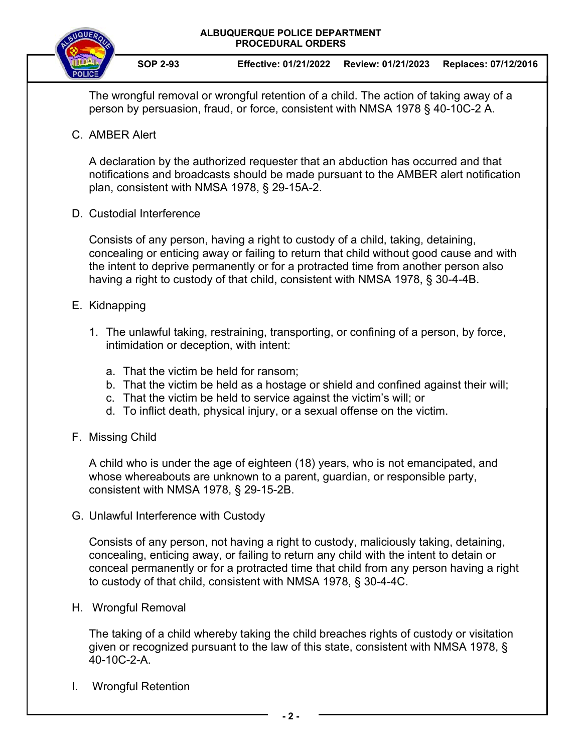

**SOP 2-93 Effective: 01/21/2022 Review: 01/21/2023 Replaces: 07/12/2016**

The wrongful removal or wrongful retention of a child. The action of taking away of a person by persuasion, fraud, or force, consistent with NMSA 1978 § 40-10C-2 A.

C. AMBER Alert

A declaration by the authorized requester that an abduction has occurred and that notifications and broadcasts should be made pursuant to the AMBER alert notification plan, consistent with NMSA 1978, § 29-15A-2.

D. Custodial Interference

Consists of any person, having a right to custody of a child, taking, detaining, concealing or enticing away or failing to return that child without good cause and with the intent to deprive permanently or for a protracted time from another person also having a right to custody of that child, consistent with NMSA 1978, § 30-4-4B.

- E. Kidnapping
	- 1. The unlawful taking, restraining, transporting, or confining of a person, by force, intimidation or deception, with intent:
		- a. That the victim be held for ransom;
		- b. That the victim be held as a hostage or shield and confined against their will;
		- c. That the victim be held to service against the victim's will; or
		- d. To inflict death, physical injury, or a sexual offense on the victim.
- F. Missing Child

A child who is under the age of eighteen (18) years, who is not emancipated, and whose whereabouts are unknown to a parent, guardian, or responsible party, consistent with NMSA 1978, § 29-15-2B.

G. Unlawful Interference with Custody

Consists of any person, not having a right to custody, maliciously taking, detaining, concealing, enticing away, or failing to return any child with the intent to detain or conceal permanently or for a protracted time that child from any person having a right to custody of that child, consistent with NMSA 1978, § 30-4-4C.

H. Wrongful Removal

The taking of a child whereby taking the child breaches rights of custody or visitation given or recognized pursuant to the law of this state, consistent with NMSA 1978, § 40-10C-2-A.

I. Wrongful Retention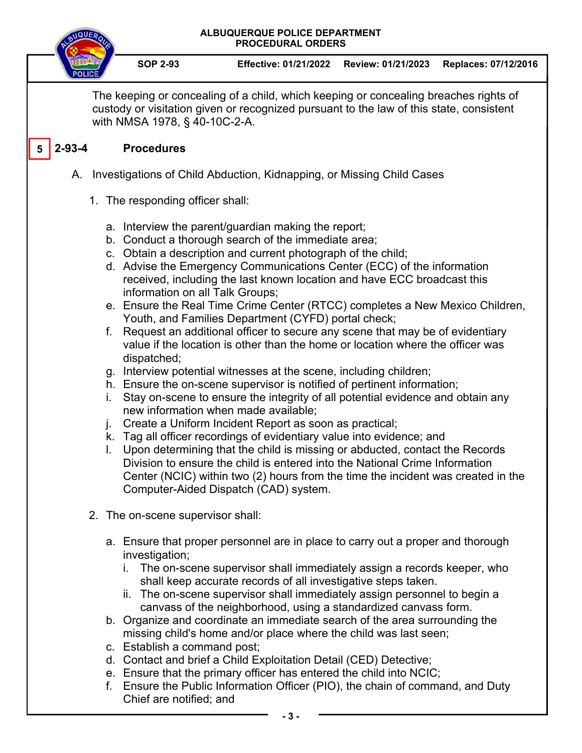### **ALBUQUERQUE POLICE DEPARTMENT PROCEDURAL ORDERS**

The keeping or concealing of a child, which keeping or concealing breaches rights of custody or visitation given or recognized pursuant to the law of this state, consistent with NMSA 1978, § 40-10C-2-A.

#### **2-93-4 Procedures 5**

- A. Investigations of Child Abduction, Kidnapping, or Missing Child Cases
	- 1. The responding officer shall:
		- a. Interview the parent/guardian making the report;
		- b. Conduct a thorough search of the immediate area;
		- c. Obtain a description and current photograph of the child;
		- d. Advise the Emergency Communications Center (ECC) of the information received, including the last known location and have ECC broadcast this information on all Talk Groups;
		- e. Ensure the Real Time Crime Center (RTCC) completes a New Mexico Children, Youth, and Families Department (CYFD) portal check;
		- f. Request an additional officer to secure any scene that may be of evidentiary value if the location is other than the home or location where the officer was dispatched;
		- g. Interview potential witnesses at the scene, including children;
		- h. Ensure the on-scene supervisor is notified of pertinent information;
		- i. Stay on-scene to ensure the integrity of all potential evidence and obtain any new information when made available;
		- j. Create a Uniform Incident Report as soon as practical;
		- k. Tag all officer recordings of evidentiary value into evidence; and
		- l. Upon determining that the child is missing or abducted, contact the Records Division to ensure the child is entered into the National Crime Information Center (NCIC) within two (2) hours from the time the incident was created in the Computer-Aided Dispatch (CAD) system.
	- 2. The on-scene supervisor shall:
		- a. Ensure that proper personnel are in place to carry out a proper and thorough investigation;
			- i. The on-scene supervisor shall immediately assign a records keeper, who shall keep accurate records of all investigative steps taken.
			- ii. The on-scene supervisor shall immediately assign personnel to begin a canvass of the neighborhood, using a standardized canvass form.
		- b. Organize and coordinate an immediate search of the area surrounding the missing child's home and/or place where the child was last seen;
		- c. Establish a command post;
		- d. Contact and brief a Child Exploitation Detail (CED) Detective;
		- e. Ensure that the primary officer has entered the child into NCIC;
		- f. Ensure the Public Information Officer (PIO), the chain of command, and Duty Chief are notified; and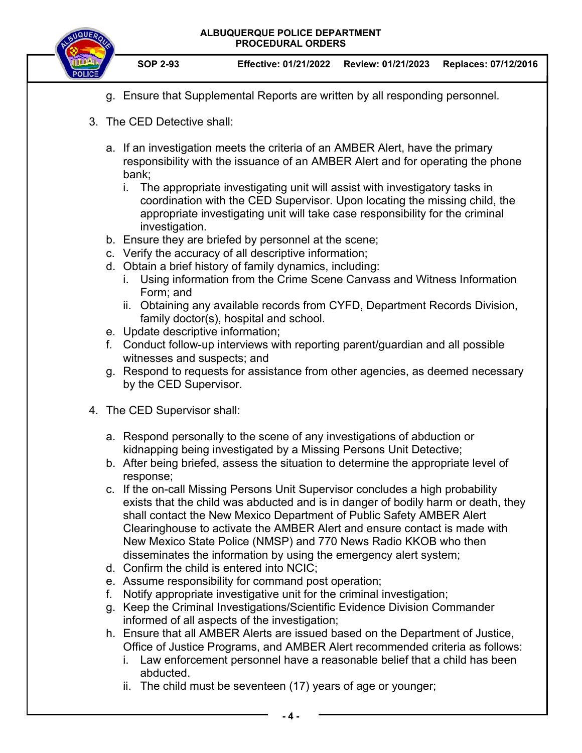



- g. Ensure that Supplemental Reports are written by all responding personnel.
- 3. The CED Detective shall:
	- a. If an investigation meets the criteria of an AMBER Alert, have the primary responsibility with the issuance of an AMBER Alert and for operating the phone bank;
		- i. The appropriate investigating unit will assist with investigatory tasks in coordination with the CED Supervisor. Upon locating the missing child, the appropriate investigating unit will take case responsibility for the criminal investigation.
	- b. Ensure they are briefed by personnel at the scene;
	- c. Verify the accuracy of all descriptive information;
	- d. Obtain a brief history of family dynamics, including:
		- i. Using information from the Crime Scene Canvass and Witness Information Form; and
		- ii. Obtaining any available records from CYFD, Department Records Division, family doctor(s), hospital and school.
	- e. Update descriptive information;
	- f. Conduct follow-up interviews with reporting parent/guardian and all possible witnesses and suspects; and
	- g. Respond to requests for assistance from other agencies, as deemed necessary by the CED Supervisor.
- 4. The CED Supervisor shall:
	- a. Respond personally to the scene of any investigations of abduction or kidnapping being investigated by a Missing Persons Unit Detective;
	- b. After being briefed, assess the situation to determine the appropriate level of response;
	- c. If the on-call Missing Persons Unit Supervisor concludes a high probability exists that the child was abducted and is in danger of bodily harm or death, they shall contact the New Mexico Department of Public Safety AMBER Alert Clearinghouse to activate the AMBER Alert and ensure contact is made with New Mexico State Police (NMSP) and 770 News Radio KKOB who then disseminates the information by using the emergency alert system;
	- d. Confirm the child is entered into NCIC;
	- e. Assume responsibility for command post operation;
	- f. Notify appropriate investigative unit for the criminal investigation;
	- g. Keep the Criminal Investigations/Scientific Evidence Division Commander informed of all aspects of the investigation;
	- h. Ensure that all AMBER Alerts are issued based on the Department of Justice, Office of Justice Programs, and AMBER Alert recommended criteria as follows:
		- i. Law enforcement personnel have a reasonable belief that a child has been abducted.
		- ii. The child must be seventeen (17) years of age or younger;